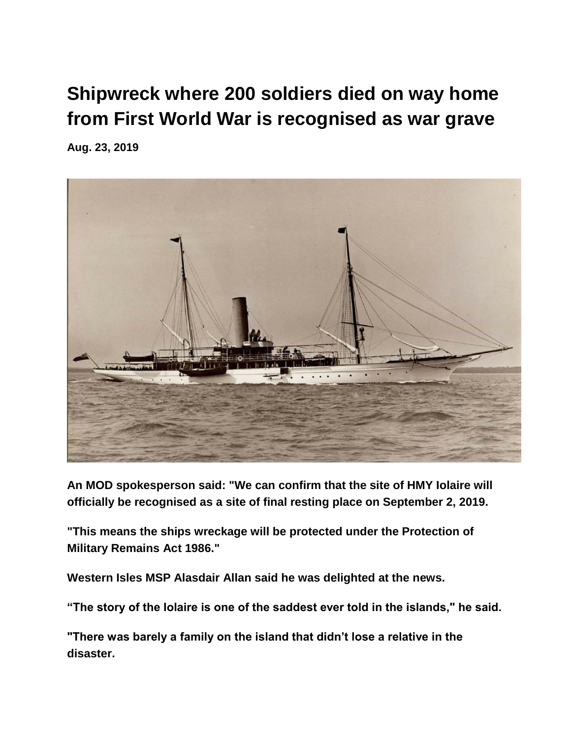## **[Shipwreck where 200 soldiers died on way home](https://twnews.co.uk/uk-news/shipwreck-where-200-soldiers-died-on-way-home-from-first-world-war-is-recognised-as-war-grave)  [from First World War is recognised as war grave](https://twnews.co.uk/uk-news/shipwreck-where-200-soldiers-died-on-way-home-from-first-world-war-is-recognised-as-war-grave)**

**Aug. 23, 2019**



**An MOD spokesperson said: "We can confirm that the site of HMY Iolaire will officially be recognised as a site of final resting place on September 2, 2019.**

**"This means the ships wreckage will be protected under the Protection of Military Remains Act 1986."**

**Western Isles MSP Alasdair Allan said he was delighted at the news.**

**"The story of the Iolaire is one of the saddest ever told in the islands," he said.**

**"There was barely a family on the island that didn't lose a relative in the disaster.**